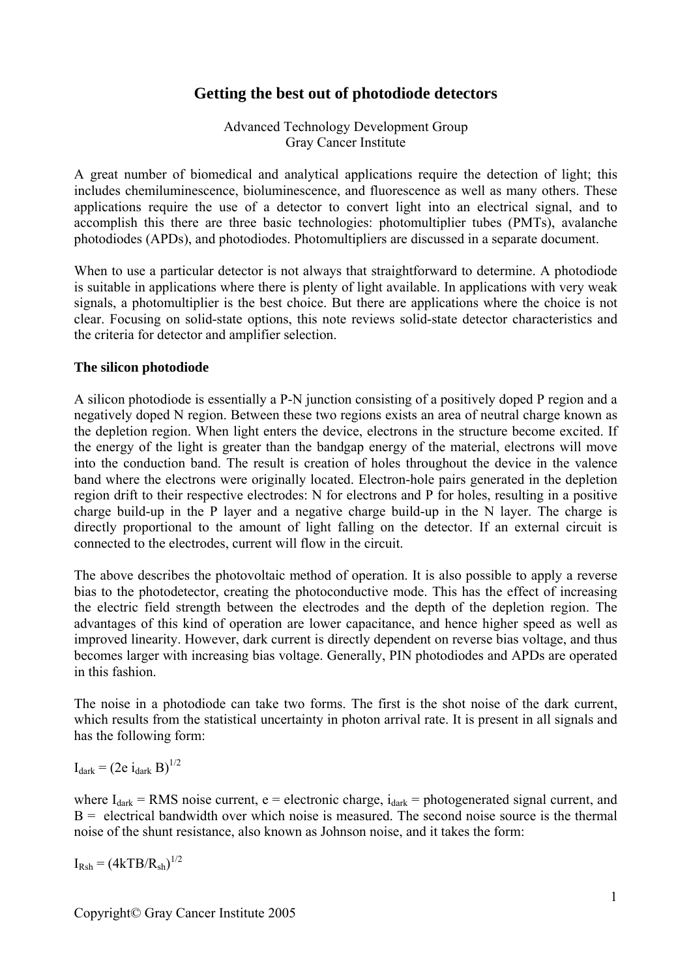# **Getting the best out of photodiode detectors**

Advanced Technology Development Group Gray Cancer Institute

A great number of biomedical and analytical applications require the detection of light; this includes chemiluminescence, bioluminescence, and fluorescence as well as many others. These applications require the use of a detector to convert light into an electrical signal, and to accomplish this there are three basic technologies: photomultiplier tubes (PMTs), avalanche photodiodes (APDs), and photodiodes. Photomultipliers are discussed in a separate document.

When to use a particular detector is not always that straightforward to determine. A photodiode is suitable in applications where there is plenty of light available. In applications with very weak signals, a photomultiplier is the best choice. But there are applications where the choice is not clear. Focusing on solid-state options, this note reviews solid-state detector characteristics and the criteria for detector and amplifier selection.

#### **The silicon photodiode**

A silicon photodiode is essentially a P-N junction consisting of a positively doped P region and a negatively doped N region. Between these two regions exists an area of neutral charge known as the depletion region. When light enters the device, electrons in the structure become excited. If the energy of the light is greater than the bandgap energy of the material, electrons will move into the conduction band. The result is creation of holes throughout the device in the valence band where the electrons were originally located. Electron-hole pairs generated in the depletion region drift to their respective electrodes: N for electrons and P for holes, resulting in a positive charge build-up in the P layer and a negative charge build-up in the N layer. The charge is directly proportional to the amount of light falling on the detector. If an external circuit is connected to the electrodes, current will flow in the circuit.

The above describes the photovoltaic method of operation. It is also possible to apply a reverse bias to the photodetector, creating the photoconductive mode. This has the effect of increasing the electric field strength between the electrodes and the depth of the depletion region. The advantages of this kind of operation are lower capacitance, and hence higher speed as well as improved linearity. However, dark current is directly dependent on reverse bias voltage, and thus becomes larger with increasing bias voltage. Generally, PIN photodiodes and APDs are operated in this fashion.

The noise in a photodiode can take two forms. The first is the shot noise of the dark current, which results from the statistical uncertainty in photon arrival rate. It is present in all signals and has the following form:

 $I_{dark} = (2e i_{dark} B)^{1/2}$ 

where  $I_{dark}$  = RMS noise current, e = electronic charge,  $i_{dark}$  = photogenerated signal current, and  $B =$  electrical bandwidth over which noise is measured. The second noise source is the thermal noise of the shunt resistance, also known as Johnson noise, and it takes the form:

 $I_{Rsh} = (4kTB/R_{sh})^{1/2}$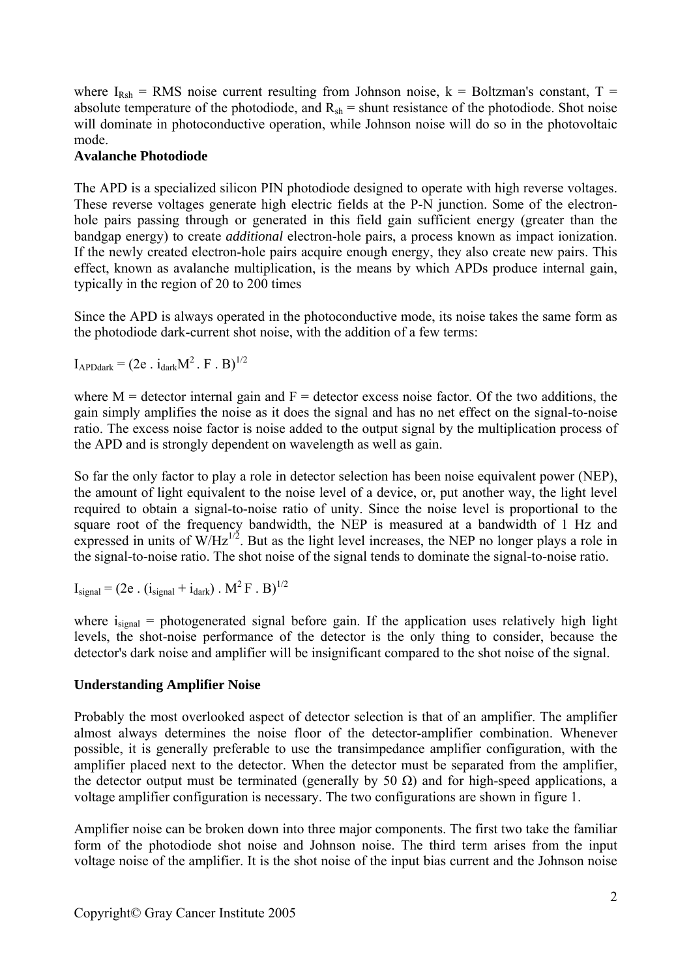where  $I_{Rsh}$  = RMS noise current resulting from Johnson noise,  $k$  = Boltzman's constant, T = absolute temperature of the photodiode, and  $R_{sh}$  = shunt resistance of the photodiode. Shot noise will dominate in photoconductive operation, while Johnson noise will do so in the photovoltaic mode.

### **Avalanche Photodiode**

The APD is a specialized silicon PIN photodiode designed to operate with high reverse voltages. These reverse voltages generate high electric fields at the P-N junction. Some of the electronhole pairs passing through or generated in this field gain sufficient energy (greater than the bandgap energy) to create *additional* electron-hole pairs, a process known as impact ionization. If the newly created electron-hole pairs acquire enough energy, they also create new pairs. This effect, known as avalanche multiplication, is the means by which APDs produce internal gain, typically in the region of 20 to 200 times

Since the APD is always operated in the photoconductive mode, its noise takes the same form as the photodiode dark-current shot noise, with the addition of a few terms:

 $I_{APDdark} = (2e \cdot i_{dark}M^2 \cdot F \cdot B)^{1/2}$ 

where  $M =$  detector internal gain and  $F =$  detector excess noise factor. Of the two additions, the gain simply amplifies the noise as it does the signal and has no net effect on the signal-to-noise ratio. The excess noise factor is noise added to the output signal by the multiplication process of the APD and is strongly dependent on wavelength as well as gain.

So far the only factor to play a role in detector selection has been noise equivalent power (NEP), the amount of light equivalent to the noise level of a device, or, put another way, the light level required to obtain a signal-to-noise ratio of unity. Since the noise level is proportional to the square root of the frequency bandwidth, the NEP is measured at a bandwidth of 1 Hz and expressed in units of  $W/Hz^{1/2}$ . But as the light level increases, the NEP no longer plays a role in the signal-to-noise ratio. The shot noise of the signal tends to dominate the signal-to-noise ratio.

 $I_{signal} = (2e \cdot (i_{signal} + i_{dark}) \cdot M^2 F \cdot B)^{1/2}$ 

where  $i<sub>signal</sub>$  = photogenerated signal before gain. If the application uses relatively high light levels, the shot-noise performance of the detector is the only thing to consider, because the detector's dark noise and amplifier will be insignificant compared to the shot noise of the signal.

## **Understanding Amplifier Noise**

Probably the most overlooked aspect of detector selection is that of an amplifier. The amplifier almost always determines the noise floor of the detector-amplifier combination. Whenever possible, it is generally preferable to use the transimpedance amplifier configuration, with the amplifier placed next to the detector. When the detector must be separated from the amplifier, the detector output must be terminated (generally by 50  $\Omega$ ) and for high-speed applications, a voltage amplifier configuration is necessary. The two configurations are shown in figure 1.

Amplifier noise can be broken down into three major components. The first two take the familiar form of the photodiode shot noise and Johnson noise. The third term arises from the input voltage noise of the amplifier. It is the shot noise of the input bias current and the Johnson noise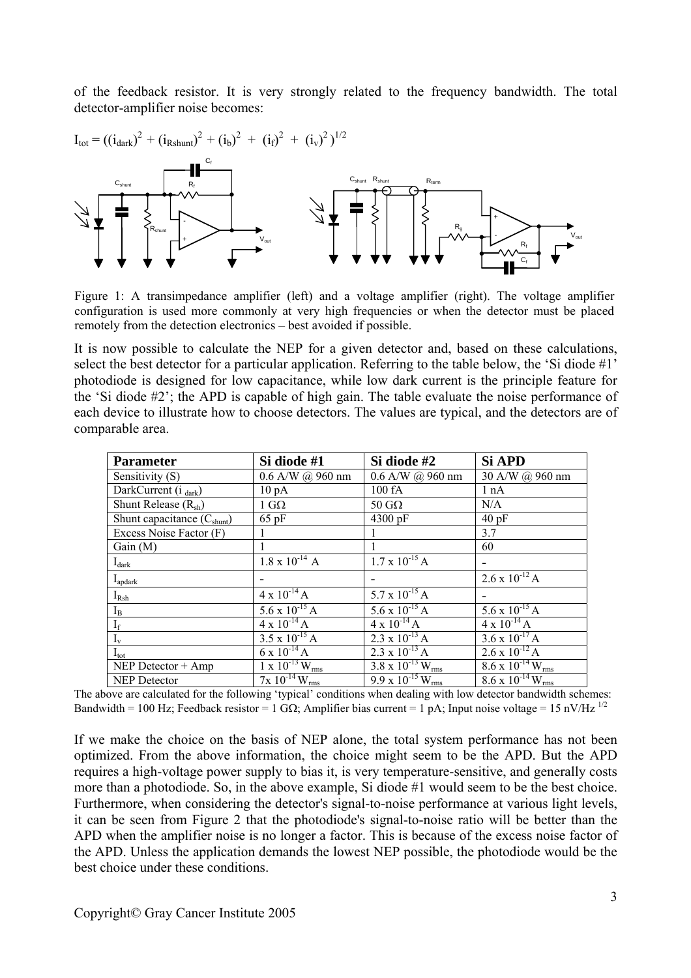of the feedback resistor. It is very strongly related to the frequency bandwidth. The total detector-amplifier noise becomes:



Figure 1: A transimpedance amplifier (left) and a voltage amplifier (right). The voltage amplifier configuration is used more commonly at very high frequencies or when the detector must be placed remotely from the detection electronics – best avoided if possible.

It is now possible to calculate the NEP for a given detector and, based on these calculations, select the best detector for a particular application. Referring to the table below, the 'Si diode #1' photodiode is designed for low capacitance, while low dark current is the principle feature for the 'Si diode #2'; the APD is capable of high gain. The table evaluate the noise performance of each device to illustrate how to choose detectors. The values are typical, and the detectors are of comparable area.

| <b>Parameter</b>                | Si diode #1                 | Si diode #2                            | Si APD                                      |
|---------------------------------|-----------------------------|----------------------------------------|---------------------------------------------|
| Sensitivity (S)                 | $0.6$ A/W $(a)$ 960 nm      | $0.6$ A/W $(a)$ 960 nm                 | 30 A/W @ 960 nm                             |
| DarkCurrent (i dark)            | $10\,\mathrm{pA}$           | 100 fA                                 | 1 nA                                        |
| Shunt Release $(R_{sh})$        | $1 \text{ G}\Omega$         | $50 \text{ G}\Omega$                   | N/A                                         |
| Shunt capacitance $(C_{shunt})$ | $65$ pF                     | 4300 pF                                | 40pF                                        |
| Excess Noise Factor (F)         |                             |                                        | 3.7                                         |
| Gain(M)                         |                             |                                        | 60                                          |
| $I_{dark}$                      | $1.8 \times 10^{-14}$ A     | $1.7 \times 10^{-15}$ A                |                                             |
| $I_{\text{apdark}}$             |                             |                                        | $2.6 \times 10^{-12}$ A                     |
| $I_{Rsh}$                       | $4 \times 10^{-14}$ A       | 5.7 x $10^{-15}$ A                     |                                             |
| $I_B$                           | $5.6 \times 10^{-15}$ A     | $5.6 \times 10^{-15}$ A                | $5.6 \times 10^{-15}$ A                     |
| $\mathbf{I}_\text{f}$           | $4 \times 10^{-14}$ A       | $4 \times 10^{-14}$ A                  | $4 \times 10^{-14}$ A                       |
| $\mathbf{I}_{\rm v}$            | $3.5 \times 10^{-15}$ A     | $2.3 \times 10^{-13}$ A                | $3.6 \times 10^{-17}$ A                     |
| $I_{\text{tot}}$                | $6 \times 10^{-14}$ A       | $2.3 \times 10^{-13}$ A                | $2.6 \times 10^{-12}$ A                     |
| NEP Detector $+$ Amp            | $1 \times 10^{-13} W_{rms}$ | $3.8 \times 10^{-13}$ W <sub>rms</sub> | $8.6 \times 10^{-14} \text{W}_{\text{rms}}$ |
| <b>NEP Detector</b>             | $7x\ 10^{-14}\ W_{\rm rms}$ | $9.9 \times 10^{-15}$ W <sub>rms</sub> | $8.6 \times 10^{-14}$ W <sub>rms</sub>      |

The above are calculated for the following 'typical' conditions when dealing with low detector bandwidth schemes: Bandwidth = 100 Hz; Feedback resistor = 1 G $\Omega$ ; Amplifier bias current = 1 pA; Input noise voltage = 15 nV/Hz <sup>1/2</sup>

If we make the choice on the basis of NEP alone, the total system performance has not been optimized. From the above information, the choice might seem to be the APD. But the APD requires a high-voltage power supply to bias it, is very temperature-sensitive, and generally costs more than a photodiode. So, in the above example, Si diode #1 would seem to be the best choice. Furthermore, when considering the detector's signal-to-noise performance at various light levels, it can be seen from Figure 2 that the photodiode's signal-to-noise ratio will be better than the APD when the amplifier noise is no longer a factor. This is because of the excess noise factor of the APD. Unless the application demands the lowest NEP possible, the photodiode would be the best choice under these conditions.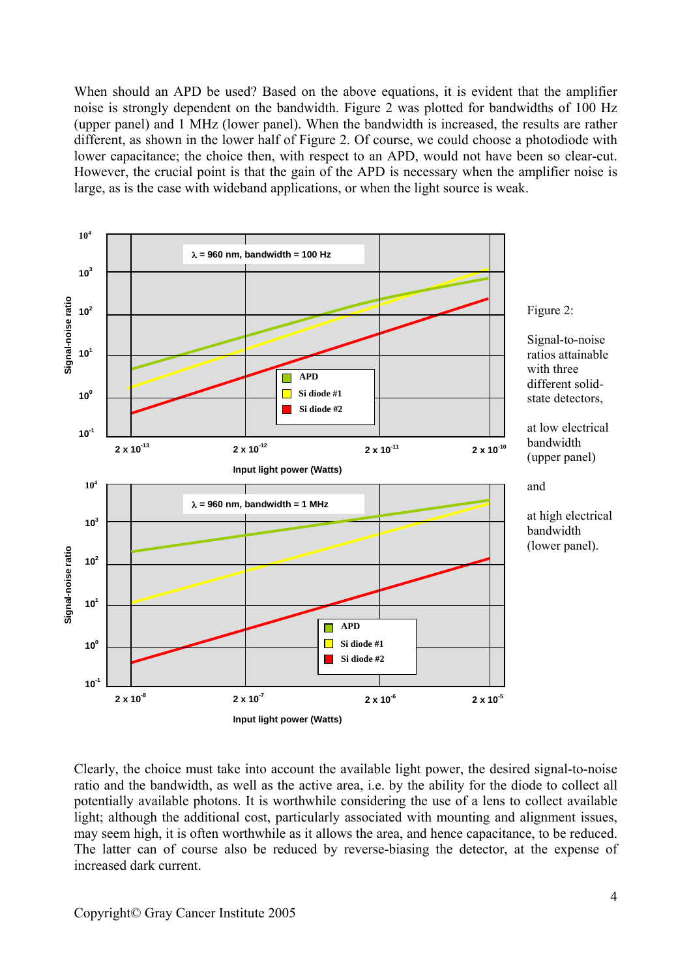When should an APD be used? Based on the above equations, it is evident that the amplifier noise is strongly dependent on the bandwidth. Figure 2 was plotted for bandwidths of 100 Hz (upper panel) and 1 MHz (lower panel). When the bandwidth is increased, the results are rather different, as shown in the lower half of Figure 2. Of course, we could choose a photodiode with lower capacitance; the choice then, with respect to an APD, would not have been so clear-cut. However, the crucial point is that the gain of the APD is necessary when the amplifier noise is large, as is the case with wideband applications, or when the light source is weak.



Clearly, the choice must take into account the available light power, the desired signal-to-noise ratio and the bandwidth, as well as the active area, i.e. by the ability for the diode to collect all potentially available photons. It is worthwhile considering the use of a lens to collect available light; although the additional cost, particularly associated with mounting and alignment issues, may seem high, it is often worthwhile as it allows the area, and hence capacitance, to be reduced. The latter can of course also be reduced by reverse-biasing the detector, at the expense of increased dark current.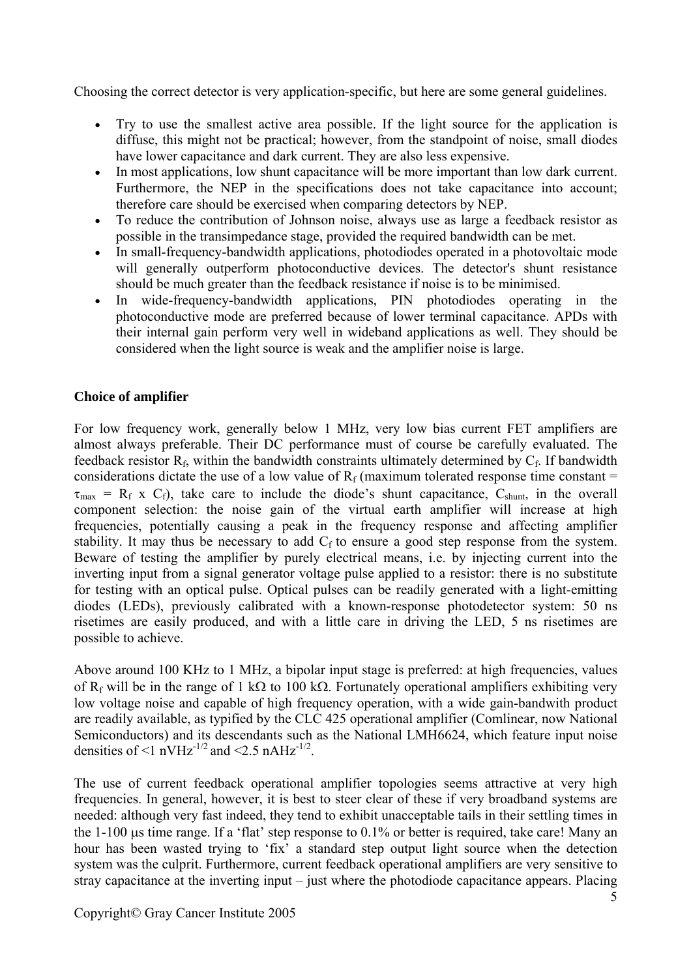Choosing the correct detector is very application-specific, but here are some general guidelines.

- Try to use the smallest active area possible. If the light source for the application is diffuse, this might not be practical; however, from the standpoint of noise, small diodes have lower capacitance and dark current. They are also less expensive.
- In most applications, low shunt capacitance will be more important than low dark current. Furthermore, the NEP in the specifications does not take capacitance into account; therefore care should be exercised when comparing detectors by NEP.
- To reduce the contribution of Johnson noise, always use as large a feedback resistor as possible in the transimpedance stage, provided the required bandwidth can be met.
- In small-frequency-bandwidth applications, photodiodes operated in a photovoltaic mode will generally outperform photoconductive devices. The detector's shunt resistance should be much greater than the feedback resistance if noise is to be minimised.
- In wide-frequency-bandwidth applications, PIN photodiodes operating in the photoconductive mode are preferred because of lower terminal capacitance. APDs with their internal gain perform very well in wideband applications as well. They should be considered when the light source is weak and the amplifier noise is large.

#### **Choice of amplifier**

For low frequency work, generally below 1 MHz, very low bias current FET amplifiers are almost always preferable. Their DC performance must of course be carefully evaluated. The feedback resistor  $R_f$ , within the bandwidth constraints ultimately determined by  $C_f$ . If bandwidth considerations dictate the use of a low value of  $R_f$  (maximum tolerated response time constant =  $\tau_{\text{max}} = R_f \times C_f$ , take care to include the diode's shunt capacitance,  $C_{\text{shunt}}$ , in the overall component selection: the noise gain of the virtual earth amplifier will increase at high frequencies, potentially causing a peak in the frequency response and affecting amplifier stability. It may thus be necessary to add  $C_f$  to ensure a good step response from the system. Beware of testing the amplifier by purely electrical means, i.e. by injecting current into the inverting input from a signal generator voltage pulse applied to a resistor: there is no substitute for testing with an optical pulse. Optical pulses can be readily generated with a light-emitting diodes (LEDs), previously calibrated with a known-response photodetector system: 50 ns risetimes are easily produced, and with a little care in driving the LED, 5 ns risetimes are possible to achieve.

Above around 100 KHz to 1 MHz, a bipolar input stage is preferred: at high frequencies, values of R<sub>f</sub> will be in the range of 1 kΩ to 100 kΩ. Fortunately operational amplifiers exhibiting very low voltage noise and capable of high frequency operation, with a wide gain-bandwith product are readily available, as typified by the CLC 425 operational amplifier (Comlinear, now National Semiconductors) and its descendants such as the National LMH6624, which feature input noise densities of  $\leq$  nVHz<sup>-1/2</sup> and  $\leq$  2.5 nAHz<sup>-1/2</sup>.

The use of current feedback operational amplifier topologies seems attractive at very high frequencies. In general, however, it is best to steer clear of these if very broadband systems are needed: although very fast indeed, they tend to exhibit unacceptable tails in their settling times in the 1-100 µs time range. If a 'flat' step response to 0.1% or better is required, take care! Many an hour has been wasted trying to 'fix' a standard step output light source when the detection system was the culprit. Furthermore, current feedback operational amplifiers are very sensitive to stray capacitance at the inverting input – just where the photodiode capacitance appears. Placing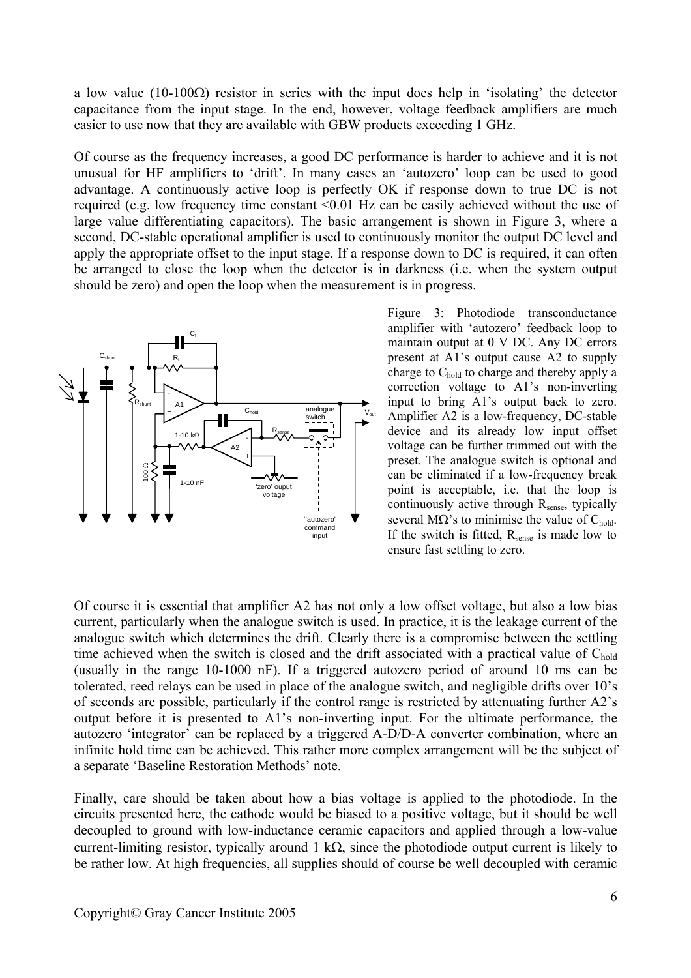a low value (10-100Ω) resistor in series with the input does help in 'isolating' the detector capacitance from the input stage. In the end, however, voltage feedback amplifiers are much easier to use now that they are available with GBW products exceeding 1 GHz.

Of course as the frequency increases, a good DC performance is harder to achieve and it is not unusual for HF amplifiers to 'drift'. In many cases an 'autozero' loop can be used to good advantage. A continuously active loop is perfectly OK if response down to true DC is not required (e.g. low frequency time constant <0.01 Hz can be easily achieved without the use of large value differentiating capacitors). The basic arrangement is shown in Figure 3, where a second, DC-stable operational amplifier is used to continuously monitor the output DC level and apply the appropriate offset to the input stage. If a response down to DC is required, it can often be arranged to close the loop when the detector is in darkness (i.e. when the system output should be zero) and open the loop when the measurement is in progress.



Figure 3: Photodiode transconductance amplifier with 'autozero' feedback loop to maintain output at 0 V DC. Any DC errors present at A1's output cause A2 to supply charge to C<sub>hold</sub> to charge and thereby apply a correction voltage to A1's non-inverting input to bring A1's output back to zero. Amplifier A2 is a low-frequency, DC-stable device and its already low input offset voltage can be further trimmed out with the preset. The analogue switch is optional and can be eliminated if a low-frequency break point is acceptable, i.e. that the loop is continuously active through  $R_{\text{sense}}$ , typically several M $\Omega$ 's to minimise the value of C<sub>hold</sub>. If the switch is fitted, R<sub>sense</sub> is made low to ensure fast settling to zero.

Of course it is essential that amplifier A2 has not only a low offset voltage, but also a low bias current, particularly when the analogue switch is used. In practice, it is the leakage current of the analogue switch which determines the drift. Clearly there is a compromise between the settling time achieved when the switch is closed and the drift associated with a practical value of  $C_{hold}$ (usually in the range 10-1000 nF). If a triggered autozero period of around 10 ms can be tolerated, reed relays can be used in place of the analogue switch, and negligible drifts over 10's of seconds are possible, particularly if the control range is restricted by attenuating further A2's output before it is presented to A1's non-inverting input. For the ultimate performance, the autozero 'integrator' can be replaced by a triggered A-D/D-A converter combination, where an infinite hold time can be achieved. This rather more complex arrangement will be the subject of a separate 'Baseline Restoration Methods' note.

Finally, care should be taken about how a bias voltage is applied to the photodiode. In the circuits presented here, the cathode would be biased to a positive voltage, but it should be well decoupled to ground with low-inductance ceramic capacitors and applied through a low-value current-limiting resistor, typically around 1 kΩ, since the photodiode output current is likely to be rather low. At high frequencies, all supplies should of course be well decoupled with ceramic